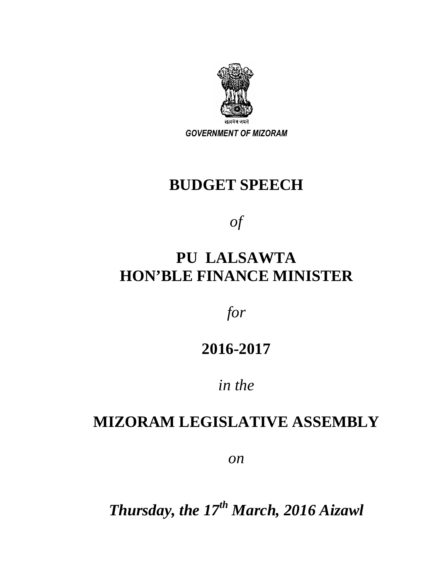

*GOVERNMENT OF MIZORAM* 

# **BUDGET SPEECH**

*of* 

# **PU LALSAWTA HON'BLE FINANCE MINISTER**

*for* 

# **2016-2017**

# *in the*

# **MIZORAM LEGISLATIVE ASSEMBLY**

*on* 

*Thursday, the 17th March, 2016 Aizawl*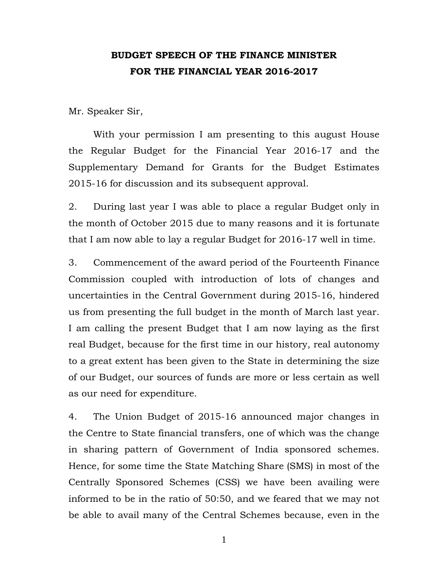# **BUDGET SPEECH OF THE FINANCE MINISTER FOR THE FINANCIAL YEAR 2016-2017**

Mr. Speaker Sir,

 With your permission I am presenting to this august House the Regular Budget for the Financial Year 2016-17 and the Supplementary Demand for Grants for the Budget Estimates 2015-16 for discussion and its subsequent approval.

2. During last year I was able to place a regular Budget only in the month of October 2015 due to many reasons and it is fortunate that I am now able to lay a regular Budget for 2016-17 well in time.

3. Commencement of the award period of the Fourteenth Finance Commission coupled with introduction of lots of changes and uncertainties in the Central Government during 2015-16, hindered us from presenting the full budget in the month of March last year. I am calling the present Budget that I am now laying as the first real Budget, because for the first time in our history, real autonomy to a great extent has been given to the State in determining the size of our Budget, our sources of funds are more or less certain as well as our need for expenditure.

4. The Union Budget of 2015-16 announced major changes in the Centre to State financial transfers, one of which was the change in sharing pattern of Government of India sponsored schemes. Hence, for some time the State Matching Share (SMS) in most of the Centrally Sponsored Schemes (CSS) we have been availing were informed to be in the ratio of 50:50, and we feared that we may not be able to avail many of the Central Schemes because, even in the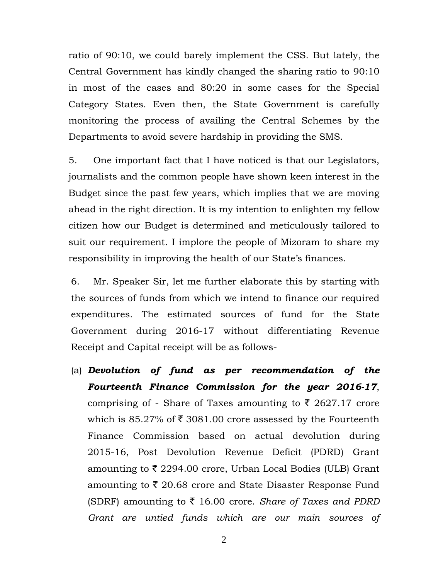ratio of 90:10, we could barely implement the CSS. But lately, the Central Government has kindly changed the sharing ratio to 90:10 in most of the cases and 80:20 in some cases for the Special Category States. Even then, the State Government is carefully monitoring the process of availing the Central Schemes by the Departments to avoid severe hardship in providing the SMS.

5. One important fact that I have noticed is that our Legislators, journalists and the common people have shown keen interest in the Budget since the past few years, which implies that we are moving ahead in the right direction. It is my intention to enlighten my fellow citizen how our Budget is determined and meticulously tailored to suit our requirement. I implore the people of Mizoram to share my responsibility in improving the health of our State's finances.

6. Mr. Speaker Sir, let me further elaborate this by starting with the sources of funds from which we intend to finance our required expenditures. The estimated sources of fund for the State Government during 2016-17 without differentiating Revenue Receipt and Capital receipt will be as follows-

(a) *Devolution of fund as per recommendation of the Fourteenth Finance Commission for the year 2016-17*, comprising of - Share of Taxes amounting to  $\bar{\tau}$  2627.17 crore which is 85.27% of  $\bar{\tau}$  3081.00 crore assessed by the Fourteenth Finance Commission based on actual devolution during 2015-16, Post Devolution Revenue Deficit (PDRD) Grant amounting to  $\bar{\xi}$  2294.00 crore, Urban Local Bodies (ULB) Grant amounting to  $\bar{\xi}$  20.68 crore and State Disaster Response Fund (SDRF) amounting to  $\bar{\tau}$  16.00 crore. *Share of Taxes and PDRD Grant are untied funds which are our main sources of*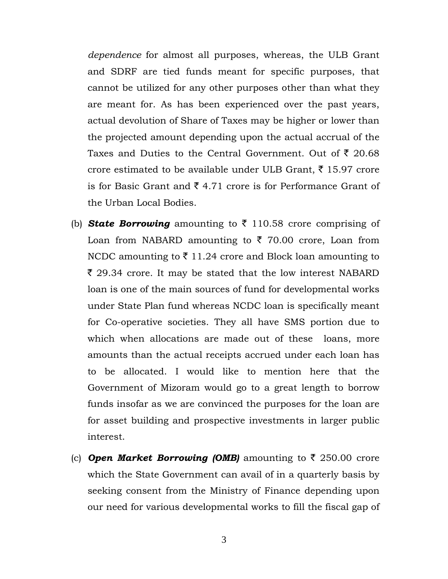*dependence* for almost all purposes, whereas, the ULB Grant and SDRF are tied funds meant for specific purposes, that cannot be utilized for any other purposes other than what they are meant for. As has been experienced over the past years, actual devolution of Share of Taxes may be higher or lower than the projected amount depending upon the actual accrual of the Taxes and Duties to the Central Government. Out of  $\bar{\tau}$  20.68 crore estimated to be available under ULB Grant,  $\bar{\tau}$  15.97 crore is for Basic Grant and  $\bar{\tau}$  4.71 crore is for Performance Grant of the Urban Local Bodies.

- (b) **State Borrowing** amounting to  $\bar{\tau}$  110.58 crore comprising of Loan from NABARD amounting to  $\bar{\xi}$  70.00 crore, Loan from NCDC amounting to  $\bar{\tau}$  11.24 crore and Block loan amounting to  $\bar{\xi}$  29.34 crore. It may be stated that the low interest NABARD loan is one of the main sources of fund for developmental works under State Plan fund whereas NCDC loan is specifically meant for Co-operative societies. They all have SMS portion due to which when allocations are made out of these loans, more amounts than the actual receipts accrued under each loan has to be allocated. I would like to mention here that the Government of Mizoram would go to a great length to borrow funds insofar as we are convinced the purposes for the loan are for asset building and prospective investments in larger public interest.
- (c) **Open Market Borrowing (OMB)** amounting to  $\bar{\zeta}$  250.00 crore which the State Government can avail of in a quarterly basis by seeking consent from the Ministry of Finance depending upon our need for various developmental works to fill the fiscal gap of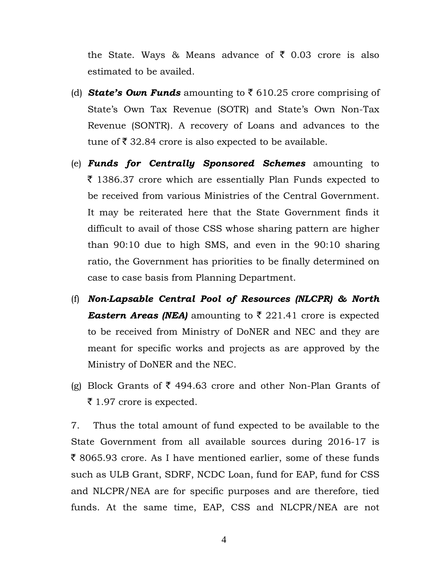the State. Ways & Means advance of  $\bar{\xi}$  0.03 crore is also estimated to be availed.

- (d) **State's Own Funds** amounting to  $\bar{\tau}$  610.25 crore comprising of State's Own Tax Revenue (SOTR) and State's Own Non-Tax Revenue (SONTR). A recovery of Loans and advances to the tune of  $\bar{\tau}$  32.84 crore is also expected to be available.
- (e) *Funds for Centrally Sponsored Schemes* amounting to  $\bar{\tau}$  1386.37 crore which are essentially Plan Funds expected to be received from various Ministries of the Central Government. It may be reiterated here that the State Government finds it difficult to avail of those CSS whose sharing pattern are higher than 90:10 due to high SMS, and even in the 90:10 sharing ratio, the Government has priorities to be finally determined on case to case basis from Planning Department.
- (f) *Non-Lapsable Central Pool of Resources (NLCPR) & North Eastern Areas (NEA)* amounting to  $\bar{\zeta}$  221.41 crore is expected to be received from Ministry of DoNER and NEC and they are meant for specific works and projects as are approved by the Ministry of DoNER and the NEC.
- (g) Block Grants of  $\bar{\tau}$  494.63 crore and other Non-Plan Grants of  $\bar{\xi}$  1.97 crore is expected.

7. Thus the total amount of fund expected to be available to the State Government from all available sources during 2016-17 is  $\bar{\tau}$  8065.93 crore. As I have mentioned earlier, some of these funds such as ULB Grant, SDRF, NCDC Loan, fund for EAP, fund for CSS and NLCPR/NEA are for specific purposes and are therefore, tied funds. At the same time, EAP, CSS and NLCPR/NEA are not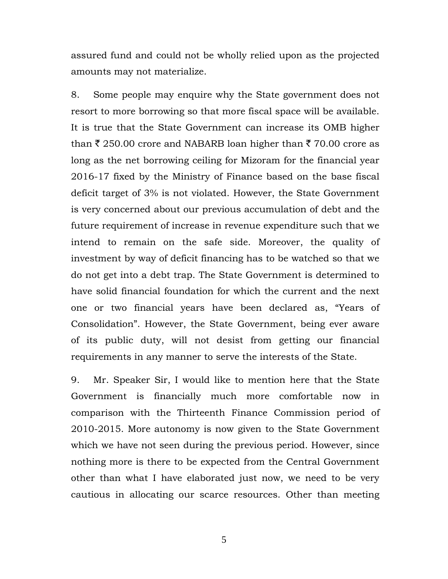assured fund and could not be wholly relied upon as the projected amounts may not materialize.

8. Some people may enquire why the State government does not resort to more borrowing so that more fiscal space will be available. It is true that the State Government can increase its OMB higher than  $\bar{\tau}$  250.00 crore and NABARB loan higher than  $\bar{\tau}$  70.00 crore as long as the net borrowing ceiling for Mizoram for the financial year 2016-17 fixed by the Ministry of Finance based on the base fiscal deficit target of 3% is not violated. However, the State Government is very concerned about our previous accumulation of debt and the future requirement of increase in revenue expenditure such that we intend to remain on the safe side. Moreover, the quality of investment by way of deficit financing has to be watched so that we do not get into a debt trap. The State Government is determined to have solid financial foundation for which the current and the next one or two financial years have been declared as, "Years of Consolidation". However, the State Government, being ever aware of its public duty, will not desist from getting our financial requirements in any manner to serve the interests of the State.

9. Mr. Speaker Sir, I would like to mention here that the State Government is financially much more comfortable now in comparison with the Thirteenth Finance Commission period of 2010-2015. More autonomy is now given to the State Government which we have not seen during the previous period. However, since nothing more is there to be expected from the Central Government other than what I have elaborated just now, we need to be very cautious in allocating our scarce resources. Other than meeting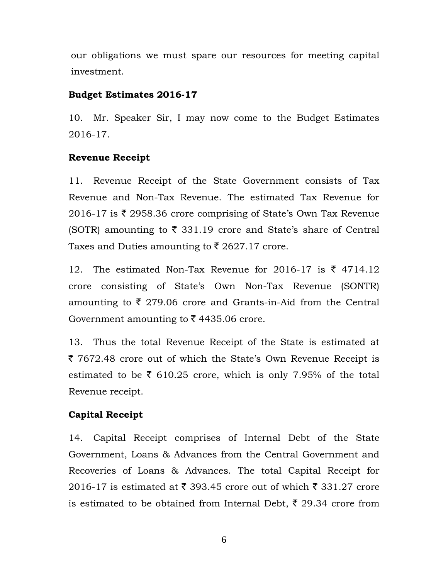our obligations we must spare our resources for meeting capital investment.

### **Budget Estimates 2016-17**

10. Mr. Speaker Sir, I may now come to the Budget Estimates 2016-17.

### **Revenue Receipt**

11. Revenue Receipt of the State Government consists of Tax Revenue and Non-Tax Revenue. The estimated Tax Revenue for 2016-17 is  $\bar{\zeta}$  2958.36 crore comprising of State's Own Tax Revenue (SOTR) amounting to  $\bar{\tau}$  331.19 crore and State's share of Central Taxes and Duties amounting to  $\bar{\tau}$  2627.17 crore.

12. The estimated Non-Tax Revenue for 2016-17 is  $\bar{\tau}$  4714.12 crore consisting of State's Own Non-Tax Revenue (SONTR) amounting to  $\bar{\tau}$  279.06 crore and Grants-in-Aid from the Central Government amounting to  $\bar{\xi}$  4435.06 crore.

13. Thus the total Revenue Receipt of the State is estimated at  $\bar{\xi}$  7672.48 crore out of which the State's Own Revenue Receipt is estimated to be  $\bar{\tau}$  610.25 crore, which is only 7.95% of the total Revenue receipt.

# **Capital Receipt**

14. Capital Receipt comprises of Internal Debt of the State Government, Loans & Advances from the Central Government and Recoveries of Loans & Advances. The total Capital Receipt for 2016-17 is estimated at  $\bar{\xi}$  393.45 crore out of which  $\bar{\xi}$  331.27 crore is estimated to be obtained from Internal Debt,  $\bar{\tau}$  29.34 crore from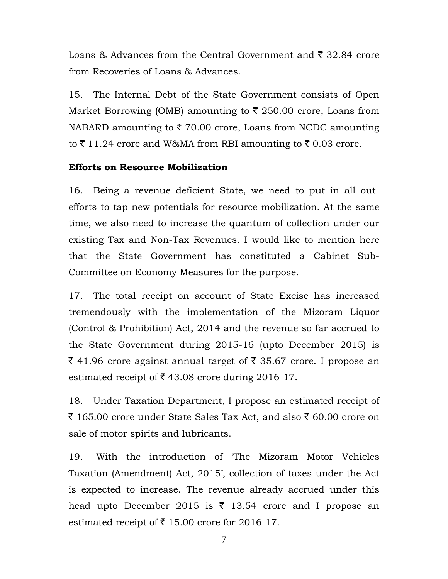Loans & Advances from the Central Government and  $\bar{\tau}$  32.84 crore from Recoveries of Loans & Advances.

15. The Internal Debt of the State Government consists of Open Market Borrowing (OMB) amounting to  $\bar{\tau}$  250.00 crore, Loans from NABARD amounting to  $\bar{\tau}$  70.00 crore, Loans from NCDC amounting to  $\bar{\xi}$  11.24 crore and W&MA from RBI amounting to  $\bar{\xi}$  0.03 crore.

# **Efforts on Resource Mobilization**

16. Being a revenue deficient State, we need to put in all outefforts to tap new potentials for resource mobilization. At the same time, we also need to increase the quantum of collection under our existing Tax and Non-Tax Revenues. I would like to mention here that the State Government has constituted a Cabinet Sub-Committee on Economy Measures for the purpose.

17. The total receipt on account of State Excise has increased tremendously with the implementation of the Mizoram Liquor (Control & Prohibition) Act, 2014 and the revenue so far accrued to the State Government during 2015-16 (upto December 2015) is ₹ 41.96 crore against annual target of ₹ 35.67 crore. I propose an estimated receipt of  $\bar{\tau}$  43.08 crore during 2016-17.

18. Under Taxation Department, I propose an estimated receipt of ₹ 165.00 crore under State Sales Tax Act, and also ₹ 60.00 crore on sale of motor spirits and lubricants.

19. With the introduction of 'The Mizoram Motor Vehicles Taxation (Amendment) Act, 2015', collection of taxes under the Act is expected to increase. The revenue already accrued under this head upto December 2015 is  $\bar{\tau}$  13.54 crore and I propose an estimated receipt of  $\bar{\tau}$  15.00 crore for 2016-17.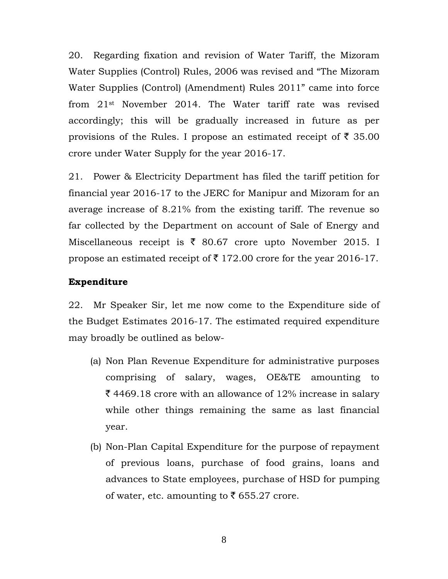20. Regarding fixation and revision of Water Tariff, the Mizoram Water Supplies (Control) Rules, 2006 was revised and "The Mizoram Water Supplies (Control) (Amendment) Rules 2011" came into force from 21st November 2014. The Water tariff rate was revised accordingly; this will be gradually increased in future as per provisions of the Rules. I propose an estimated receipt of  $\bar{\tau}$  35.00 crore under Water Supply for the year 2016-17.

21. Power & Electricity Department has filed the tariff petition for financial year 2016-17 to the JERC for Manipur and Mizoram for an average increase of 8.21% from the existing tariff. The revenue so far collected by the Department on account of Sale of Energy and Miscellaneous receipt is  $\bar{\tau}$  80.67 crore upto November 2015. I propose an estimated receipt of  $\bar{\tau}$  172.00 crore for the year 2016-17.

### **Expenditure**

22. Mr Speaker Sir, let me now come to the Expenditure side of the Budget Estimates 2016-17. The estimated required expenditure may broadly be outlined as below-

- (a) Non Plan Revenue Expenditure for administrative purposes comprising of salary, wages, OE&TE amounting to  $\bar{\tau}$  4469.18 crore with an allowance of 12% increase in salary while other things remaining the same as last financial year.
- (b) Non-Plan Capital Expenditure for the purpose of repayment of previous loans, purchase of food grains, loans and advances to State employees, purchase of HSD for pumping of water, etc. amounting to  $\bar{\tau}$  655.27 crore.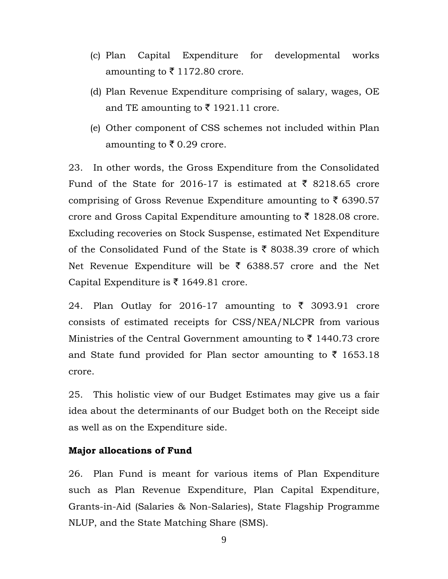- (c) Plan Capital Expenditure for developmental works amounting to  $\bar{\xi}$  1172.80 crore.
- (d) Plan Revenue Expenditure comprising of salary, wages, OE and TE amounting to  $\bar{\mathfrak{c}}$  1921.11 crore.
- (e) Other component of CSS schemes not included within Plan amounting to  $\bar{\tau}$  0.29 crore.

23. In other words, the Gross Expenditure from the Consolidated Fund of the State for 2016-17 is estimated at  $\bar{\zeta}$  8218.65 crore comprising of Gross Revenue Expenditure amounting to  $\bar{\tau}$  6390.57 crore and Gross Capital Expenditure amounting to  $\bar{\tau}$  1828.08 crore. Excluding recoveries on Stock Suspense, estimated Net Expenditure of the Consolidated Fund of the State is  $\bar{\tau}$  8038.39 crore of which Net Revenue Expenditure will be  $\bar{\tau}$  6388.57 crore and the Net Capital Expenditure is  $\bar{\tau}$  1649.81 crore.

24. Plan Outlay for 2016-17 amounting to  $\bar{\tau}$  3093.91 crore consists of estimated receipts for CSS/NEA/NLCPR from various Ministries of the Central Government amounting to  $\bar{\tau}$  1440.73 crore and State fund provided for Plan sector amounting to  $\bar{\tau}$  1653.18 crore.

25. This holistic view of our Budget Estimates may give us a fair idea about the determinants of our Budget both on the Receipt side as well as on the Expenditure side.

### **Major allocations of Fund**

26. Plan Fund is meant for various items of Plan Expenditure such as Plan Revenue Expenditure, Plan Capital Expenditure, Grants-in-Aid (Salaries & Non-Salaries), State Flagship Programme NLUP, and the State Matching Share (SMS).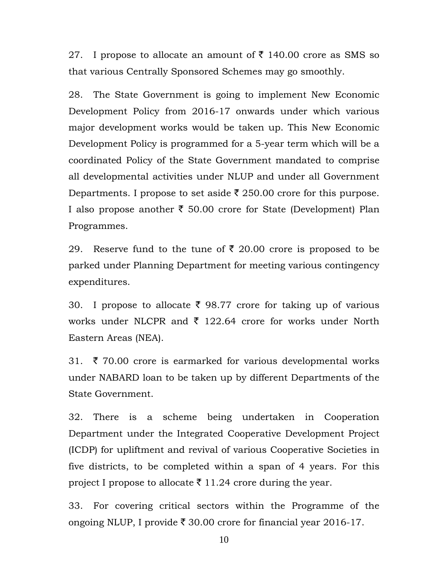27. I propose to allocate an amount of  $\bar{\tau}$  140.00 crore as SMS so that various Centrally Sponsored Schemes may go smoothly.

28. The State Government is going to implement New Economic Development Policy from 2016-17 onwards under which various major development works would be taken up. This New Economic Development Policy is programmed for a 5-year term which will be a coordinated Policy of the State Government mandated to comprise all developmental activities under NLUP and under all Government Departments. I propose to set aside  $\bar{\tau}$  250.00 crore for this purpose. I also propose another  $\bar{\tau}$  50.00 crore for State (Development) Plan Programmes.

29. Reserve fund to the tune of  $\bar{\tau}$  20.00 crore is proposed to be parked under Planning Department for meeting various contingency expenditures.

30. I propose to allocate  $\bar{\xi}$  98.77 crore for taking up of various works under NLCPR and  $\bar{\tau}$  122.64 crore for works under North Eastern Areas (NEA).

31.  $\overline{\zeta}$  70.00 crore is earmarked for various developmental works under NABARD loan to be taken up by different Departments of the State Government.

32. There is a scheme being undertaken in Cooperation Department under the Integrated Cooperative Development Project (ICDP) for upliftment and revival of various Cooperative Societies in five districts, to be completed within a span of 4 years. For this project I propose to allocate  $\bar{\tau}$  11.24 crore during the year.

33. For covering critical sectors within the Programme of the ongoing NLUP, I provide  $\bar{\tau}$  30.00 crore for financial year 2016-17.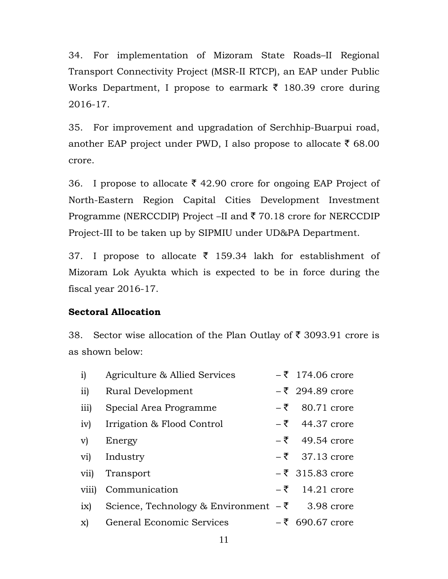34. For implementation of Mizoram State Roads–II Regional Transport Connectivity Project (MSR-II RTCP), an EAP under Public Works Department, I propose to earmark  $\bar{\tau}$  180.39 crore during 2016-17.

35. For improvement and upgradation of Serchhip-Buarpui road, another EAP project under PWD, I also propose to allocate  $\bar{\tau}$  68.00 crore.

36. I propose to allocate  $\bar{\tau}$  42.90 crore for ongoing EAP Project of North-Eastern Region Capital Cities Development Investment Programme (NERCCDIP) Project -II and  $\bar{\tau}$  70.18 crore for NERCCDIP Project-III to be taken up by SIPMIU under UD&PA Department.

37. I propose to allocate  $\bar{\tau}$  159.34 lakh for establishment of Mizoram Lok Ayukta which is expected to be in force during the fiscal year 2016-17.

### **Sectoral Allocation**

38. Sector wise allocation of the Plan Outlay of  $\bar{\tau}$  3093.91 crore is as shown below:

| i)           | Agriculture & Allied Services                           | $-\bar{z}$ 174.06 crore |
|--------------|---------------------------------------------------------|-------------------------|
| ii)          | Rural Development                                       | $-\xi$ 294.89 crore     |
| iii)         | Special Area Programme                                  | $-\xi$ 80.71 crore      |
| iv)          | Irrigation & Flood Control                              | $-\xi$ 44.37 crore      |
| V)           | Energy                                                  | $-\xi$ 49.54 crore      |
| vi)          | Industry                                                | $-\bar{z}$ 37.13 crore  |
| vii)         | Transport                                               | $-\xi$ 315.83 crore     |
| viii)        | Communication                                           | $-\xi$ 14.21 crore      |
| ix)          | Science, Technology & Environment $-\bar{z}$ 3.98 crore |                         |
| $\mathbf{x}$ | <b>General Economic Services</b>                        | $-\xi$ 690.67 crore     |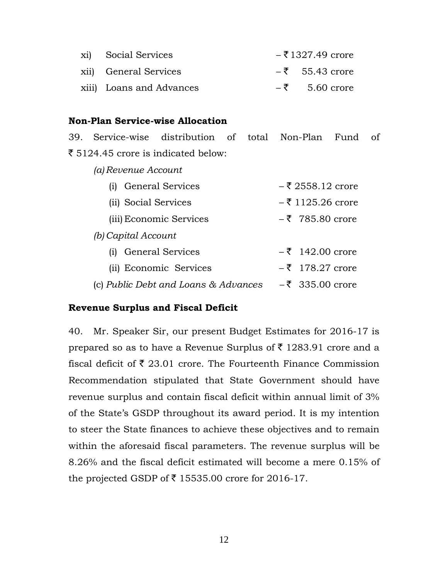| xi) Social Services      | $-\xi$ 1327.49 crore |
|--------------------------|----------------------|
| xii) General Services    | $-\xi$ 55.43 crore   |
| xiii) Loans and Advances | $-\xi$ 5.60 crore    |

#### **Non-Plan Service-wise Allocation**

39. Service-wise distribution of total Non-Plan Fund of  $\bar{\xi}$  5124.45 crore is indicated below:

*(a) Revenue Account* 

| <b>General Services</b><br>(i)                | $-\xi$ 2558.12 crore    |  |  |  |
|-----------------------------------------------|-------------------------|--|--|--|
| (ii) Social Services                          | $-\xi$ 1125.26 crore    |  |  |  |
| (iii) Economic Services                       | $-5$ 785.80 crore       |  |  |  |
| (b) Capital Account                           |                         |  |  |  |
| <b>General Services</b><br>$\left( 1 \right)$ | $-\bar{z}$ 142.00 crore |  |  |  |
| (ii) Economic Services                        | $-\xi$ 178.27 crore     |  |  |  |
| (c) Public Debt and Loans & Advances          | $-\xi$ 335.00 crore     |  |  |  |

#### **Revenue Surplus and Fiscal Deficit**

40. Mr. Speaker Sir, our present Budget Estimates for 2016-17 is prepared so as to have a Revenue Surplus of  $\bar{\tau}$  1283.91 crore and a fiscal deficit of  $\bar{\tau}$  23.01 crore. The Fourteenth Finance Commission Recommendation stipulated that State Government should have revenue surplus and contain fiscal deficit within annual limit of 3% of the State's GSDP throughout its award period. It is my intention to steer the State finances to achieve these objectives and to remain within the aforesaid fiscal parameters. The revenue surplus will be 8.26% and the fiscal deficit estimated will become a mere 0.15% of the projected GSDP of  $\bar{\tau}$  15535.00 crore for 2016-17.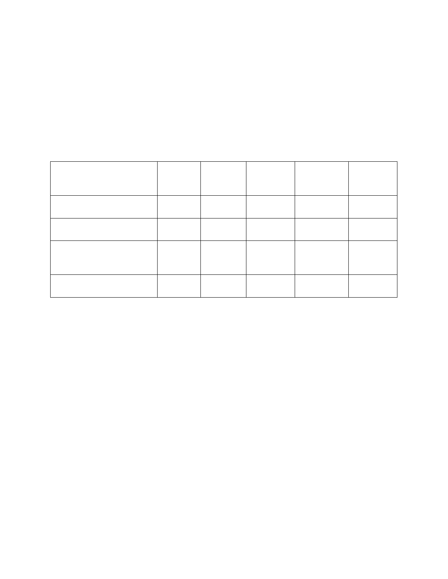#### **Liabilities of the State Government**

41. The Gross State Domestic Product (GSDP) is the yardstick to assess the fiscal health of the State with regard to its liabilities. The following table shows the overview of the State's liabilities during the past few years.

| <b>Items</b>                  | 2011-12  | 2012-13  | 2013-14   | 2014-15<br>(Pre-<br><b>Actuals</b> ) | 2015-16<br>(BE) |
|-------------------------------|----------|----------|-----------|--------------------------------------|-----------------|
| Liabilities                   | 4,548.45 | 5,114.20 | 5,608.47  | 6,550.39                             | 6,260.20        |
| $\bar{\mathcal{F}}$ in crore) |          |          |           |                                      |                 |
| Liabilities as % of           | 65.06%   | 63.51%   | 54.47%    | 52.41%                               | 44.07%          |
| <b>GSDP</b>                   |          |          |           |                                      |                 |
| Liabilities as a $%$ of       | 85.70%   | 82.90%   | 79.20%    | 74.8%                                |                 |
| <b>GSDP</b> as projected by   |          |          |           |                                      |                 |
| <b>TFC</b>                    |          |          |           |                                      |                 |
| <b>GSDP Projected by GoI</b>  | 6,991.40 | 8,053.00 | 10,297.00 | 12,499.00                            | 14,204.00       |
| $\bar{\mathcal{E}}$ in crore) |          |          |           |                                      |                 |

**Debt Position of Mizoram** 

42. Our overall liabilities which include Market Borrowings (Market Loans and Power Bonds), Loans from the Central Government (Block Loans and other Loans), Special Securities issued to NSSF, Borrowings from FIs (LIC, NABARD, NCDC and other Institutions), WMA/OD from RBI, Provident Funds and Other Liabilities stood at ₹ 4548.45 crore in 2011-12, ₹ 5114.20 crore in 2012-13, ₹ 5608.47 crore in 2013-14 and ₹ 6550.39 crore in 2014-15. The State total liabilities were estimated to be  $\bar{\tau}$  6260.20 crore in 2015-16(BE). In terms of percentage to our GSDP, our liabilities were 65.06% in 2011-12, 63.51% in 2012-13, 54.47% in 2013-14, 52.41% in 2014-15 and was estimated to be 44.07% in 2015-16 (BE). Thus, over the past few years, our liabilities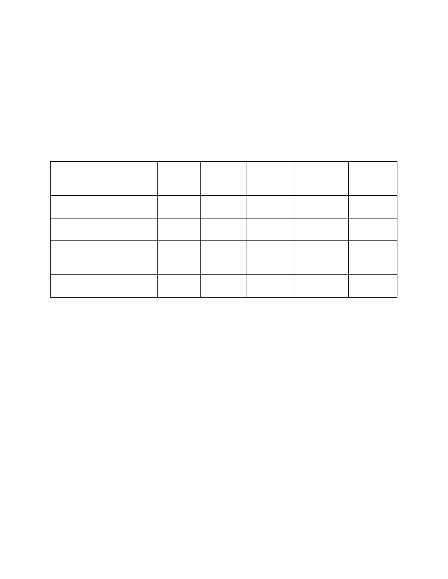diminished from 65.06% to 52.41% of our GSDP which is indeed a great achievement.

43. The estimated liabilities of the State for 2016-17 will be ₹ 7290.17 which is 46.93% of the projected GSDP of ₹ 15535.00 crore.

# **Economy Measures**

44. Mr. Speaker Sir, I take this opportunity to reiterate that our sources of funds are limited so that we need to augment our Tax and Non-Tax Revenues to the greatest extent possible and also to carefully spend our limited resources. In order to pursue the Office Memorandum on Economy Measures issued by the CMO in December 2014, a Cabinet Sub-Committee has been formed. The Committee has a quarterly review on the Action Taken Report submitted by various Departments and sets action plans with Heads of the Departments. The State Government is committed to carry out and enforce these guidelines on austerity measures and rationalization of expenditures.

45. Now that the State Government is implementing National Food Security Act, 2013 effective from March 2016, the monthly expenditure on purchase of food grains by the State Government is expected to decrease by  $\bar{\xi}$  2.00 crore in comparison with the previous arrangement.

46. In order to minimize expenditures incurred by the loss making Public Sector Enterprises (PSEs) the State Government has closed down three PSEs namely ZENICS, ZOHANCO and MAMCO in December 2015. Regular employees under these PSEs were either absorbed into State Government or were given retirement under the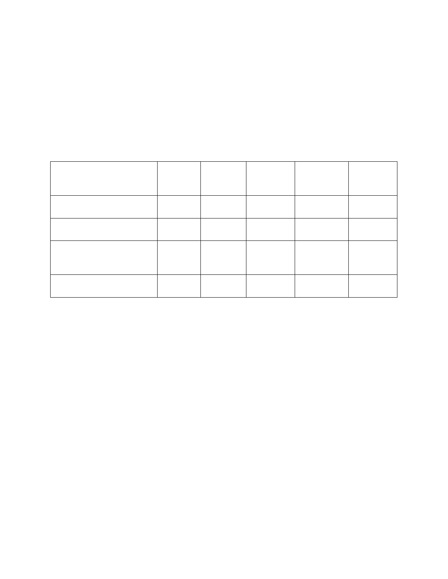Mizoram State Public Enterprises (Early Retirement) Rules, 2015 according to their choice. At the same time, ZIDCO and MIFCO are to be restructured and privatized respectively for which the State Government is actively pursuing the matters.

47. Payment of Medical Reimbursement has been a big headache for the State Government as huge amount of unpaid bills are piling up. The State Government has to pay approximately  $\bar{\xi}$  80.00 crore annually for Medical Reimbursement alone. Hence, in order to streamline the overall Medical Reimbursement system, a Committee on Medical Reimbursement Review was formed by the Government which has already submitted its report and suggestions. Once the report is accepted and implemented, the expenditure on this item would be greatly diminished and would save the State's exchequer a huge amount of public money.

#### **Conclusion**

48. Mr. Speaker Sir, we have declared the current financial year as 'Year of Consolidation' meaning that we have decided not to venture on high and new developmental works but to bring the State on a sound financial footing. The dividends have paid off so much so that we have cleared a huge amount of our liabilities in the form of civil deposits during current financial year. Therefore, as stated earlier, the other financial years ahead for one or two years have been declared as "Years of Consolidation", which will go on well with pursuance of developmental activities also.

49. This year, however, the State Government is intending to implement New Economic Development Policy for which a separate fund is earmarked. We intend to do more developmental works